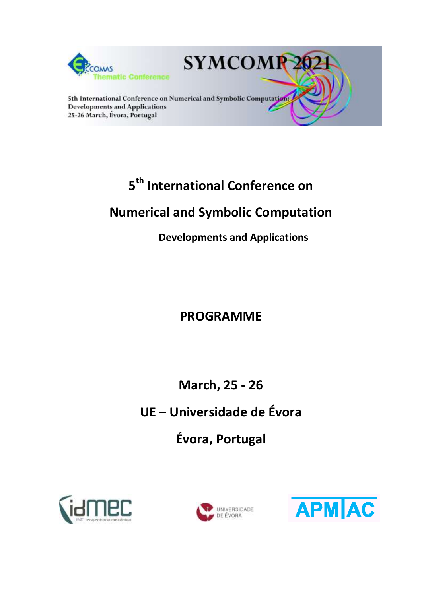

# **5 th International Conference on**

# **Numerical and Symbolic Computation**

**Developments and Applications**

# **PROGRAMME**

**March, 25 - 26**

**UE – Universidade de Évora**

**Évora, Portugal**





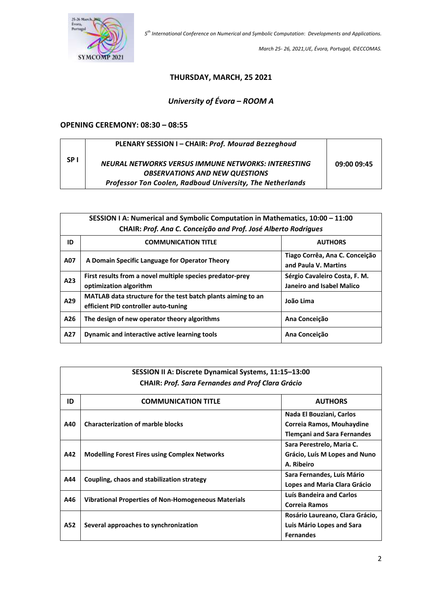

*March 25- 26, 2021,UE, Évora, Portugal, ©ECCOMAS.*

#### **THURSDAY, MARCH, 25 2021**

# *University of Évora* **–** *ROOM A*

#### **OPENING CEREMONY: 08:30 – 08:55**

|           | PLENARY SESSION I - CHAIR: Prof. Mourad Bezzeghoud        |             |
|-----------|-----------------------------------------------------------|-------------|
| <b>SP</b> | NEURAL NETWORKS VERSUS IMMUNE NETWORKS: INTERESTING       | 09:00 09:45 |
|           | <b>OBSERVATIONS AND NEW QUESTIONS</b>                     |             |
|           | Professor Ton Coolen, Radboud University, The Netherlands |             |

|     | SESSION I A: Numerical and Symbolic Computation in Mathematics, 10:00 - 11:00                        |                                                        |  |
|-----|------------------------------------------------------------------------------------------------------|--------------------------------------------------------|--|
|     | CHAIR: Prof. Ana C. Conceição and Prof. José Alberto Rodrigues                                       |                                                        |  |
| ID  | <b>COMMUNICATION TITLE</b>                                                                           | <b>AUTHORS</b>                                         |  |
| A07 | A Domain Specific Language for Operator Theory                                                       | Tiago Corrêa, Ana C. Conceição<br>and Paula V. Martins |  |
| A23 | First results from a novel multiple species predator-prey                                            | Sérgio Cavaleiro Costa, F. M.                          |  |
|     | optimization algorithm                                                                               | Janeiro and Isabel Malico                              |  |
| A29 | MATLAB data structure for the test batch plants aiming to an<br>efficient PID controller auto-tuning | João Lima                                              |  |
| A26 | The design of new operator theory algorithms                                                         | Ana Conceição                                          |  |
| A27 | Dynamic and interactive active learning tools                                                        | Ana Conceição                                          |  |

| SESSION II A: Discrete Dynamical Systems, 11:15-13:00    |                                                      |                                                                                             |
|----------------------------------------------------------|------------------------------------------------------|---------------------------------------------------------------------------------------------|
| <b>CHAIR: Prof. Sara Fernandes and Prof Clara Grácio</b> |                                                      |                                                                                             |
| ID                                                       | <b>COMMUNICATION TITLE</b>                           | <b>AUTHORS</b>                                                                              |
| A40                                                      | <b>Characterization of marble blocks</b>             | Nada El Bouziani, Carlos<br>Correia Ramos, Mouhaydine<br><b>Tlemçani and Sara Fernandes</b> |
| A42                                                      | <b>Modelling Forest Fires using Complex Networks</b> | Sara Perestrelo, Maria C.<br>Grácio, Luís M Lopes and Nuno<br>A. Ribeiro                    |
| A44                                                      | Coupling, chaos and stabilization strategy           | Sara Fernandes, Luís Mário<br>Lopes and Maria Clara Grácio                                  |
| A46                                                      | Vibrational Properties of Non-Homogeneous Materials  | Luís Bandeira and Carlos<br><b>Correja Ramos</b>                                            |
| A52                                                      | Several approaches to synchronization                | Rosário Laureano, Clara Grácio,<br>Luis Mário Lopes and Sara<br><b>Fernandes</b>            |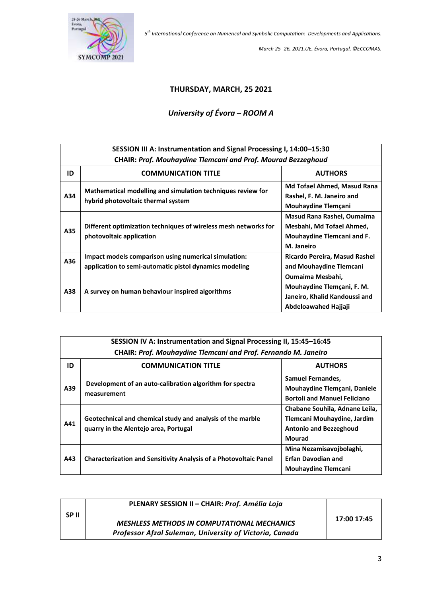

*March 25- 26, 2021,UE, Évora, Portugal, ©ECCOMAS.*

#### **THURSDAY, MARCH, 25 2021**

## *University of Évora* **–** *ROOM A*

| SESSION III A: Instrumentation and Signal Processing I, 14:00-15:30 |                                                                                                                |                                                                                                         |  |
|---------------------------------------------------------------------|----------------------------------------------------------------------------------------------------------------|---------------------------------------------------------------------------------------------------------|--|
|                                                                     | <b>CHAIR: Prof. Mouhaydine Tlemcani and Prof. Mourad Bezzeghoud</b>                                            |                                                                                                         |  |
| ID                                                                  | <b>COMMUNICATION TITLE</b>                                                                                     | <b>AUTHORS</b>                                                                                          |  |
| A34                                                                 | Mathematical modelling and simulation techniques review for<br>hybrid photovoltaic thermal system              | Md Tofael Ahmed, Masud Rana<br>Rashel, F. M. Janeiro and<br>Mouhaydine Tlemçani                         |  |
| A35                                                                 | Different optimization techniques of wireless mesh networks for<br>photovoltaic application                    | Masud Rana Rashel, Oumaima<br>Mesbahi, Md Tofael Ahmed,<br>Mouhaydine Tlemcani and F.<br>M. Janeiro     |  |
| A36                                                                 | Impact models comparison using numerical simulation:<br>application to semi-automatic pistol dynamics modeling | Ricardo Pereira, Masud Rashel<br>and Mouhaydine Tlemcani                                                |  |
| A38                                                                 | A survey on human behaviour inspired algorithms                                                                | Oumaima Mesbahi,<br>Mouhaydine Tlemçani, F. M.<br>Janeiro, Khalid Kandoussi and<br>Abdeloawahed Hajjaji |  |

| SESSION IV A: Instrumentation and Signal Processing II, 15:45-16:45<br><b>CHAIR: Prof. Mouhaydine Tlemcani and Prof. Fernando M. Janeiro</b> |                                                                                                     |                                                                                                                 |
|----------------------------------------------------------------------------------------------------------------------------------------------|-----------------------------------------------------------------------------------------------------|-----------------------------------------------------------------------------------------------------------------|
| ID                                                                                                                                           | <b>COMMUNICATION TITLE</b>                                                                          | <b>AUTHORS</b>                                                                                                  |
| A39                                                                                                                                          | Development of an auto-calibration algorithm for spectra<br>measurement                             | <b>Samuel Fernandes,</b><br>Mouhaydine Tlemçani, Daniele<br><b>Bortoli and Manuel Feliciano</b>                 |
| A41                                                                                                                                          | Geotechnical and chemical study and analysis of the marble<br>quarry in the Alentejo area, Portugal | Chabane Souhila, Adnane Leila,<br>Tlemcani Mouhaydine, Jardim<br><b>Antonio and Bezzeghoud</b><br><b>Mourad</b> |
| A43                                                                                                                                          | <b>Characterization and Sensitivity Analysis of a Photovoltaic Panel</b>                            | Mina Nezamisavojbolaghi,<br><b>Erfan Davodian and</b><br><b>Mouhaydine Tlemcani</b>                             |

|       | PLENARY SESSION II - CHAIR: Prof. Amélia Loja                                                                 |             |
|-------|---------------------------------------------------------------------------------------------------------------|-------------|
| SP II | <b>MESHLESS METHODS IN COMPUTATIONAL MECHANICS</b><br>Professor Afzal Suleman, University of Victoria, Canada | 17:00 17:45 |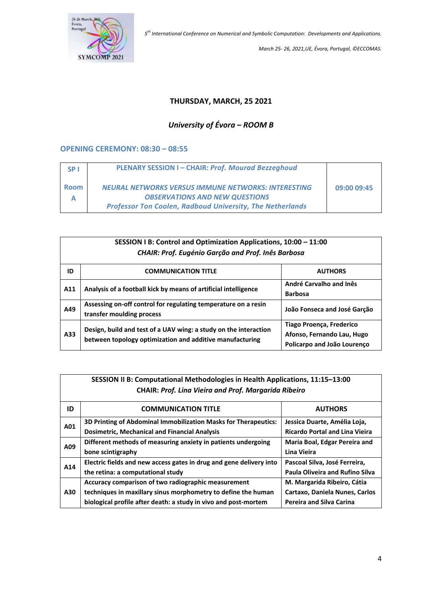

*March 25- 26, 2021,UE, Évora, Portugal, ©ECCOMAS.*

### **THURSDAY, MARCH, 25 2021**

# *University of Évora* **–** *ROOM B*

#### **OPENING CEREMONY: 08:30 – 08:55**

| SP <sub>1</sub> | <b>PLENARY SESSION I-CHAIR: Prof. Mourad Bezzeghoud</b>          |             |
|-----------------|------------------------------------------------------------------|-------------|
| <b>Room</b>     | <b>NEURAL NETWORKS VERSUS IMMUNE NETWORKS: INTERESTING</b>       | 09:00 09:45 |
|                 | <b>OBSERVATIONS AND NEW QUESTIONS</b>                            |             |
|                 | <b>Professor Ton Coolen, Radboud University, The Netherlands</b> |             |

|                                                    | SESSION I B: Control and Optimization Applications, 10:00 - 11:00                                                            |                                                                                       |  |
|----------------------------------------------------|------------------------------------------------------------------------------------------------------------------------------|---------------------------------------------------------------------------------------|--|
| CHAIR: Prof. Eugénio Garção and Prof. Inês Barbosa |                                                                                                                              |                                                                                       |  |
| ID                                                 | <b>COMMUNICATION TITLE</b>                                                                                                   | <b>AUTHORS</b>                                                                        |  |
| A11                                                | Analysis of a football kick by means of artificial intelligence                                                              | André Carvalho and Inês<br><b>Barbosa</b>                                             |  |
| A49                                                | Assessing on-off control for regulating temperature on a resin<br>transfer moulding process                                  | João Fonseca and José Garção                                                          |  |
| A33                                                | Design, build and test of a UAV wing: a study on the interaction<br>between topology optimization and additive manufacturing | Tiago Proença, Frederico<br>Afonso, Fernando Lau, Hugo<br>Policarpo and João Lourenço |  |

|     | SESSION II B: Computational Methodologies in Health Applications, 11:15-13:00 |                                        |  |
|-----|-------------------------------------------------------------------------------|----------------------------------------|--|
|     | <b>CHAIR: Prof. Lina Vieira and Prof. Margarida Ribeiro</b>                   |                                        |  |
| ID  | <b>COMMUNICATION TITLE</b>                                                    | <b>AUTHORS</b>                         |  |
|     | 3D Printing of Abdominal Immobilization Masks for Therapeutics:               | Jessica Duarte, Amélia Loja,           |  |
| A01 | <b>Dosimetric, Mechanical and Financial Analysis</b>                          | <b>Ricardo Portal and Lina Vieira</b>  |  |
| A09 | Different methods of measuring anxiety in patients undergoing                 | Maria Boal, Edgar Pereira and          |  |
|     | bone scintigraphy                                                             | Lina Vieira                            |  |
| A14 | Electric fields and new access gates in drug and gene delivery into           | Pascoal Silva, José Ferreira,          |  |
|     | the retina: a computational study                                             | <b>Paula Oliveira and Rufino Silva</b> |  |
|     | Accuracy comparison of two radiographic measurement                           | M. Margarida Ribeiro, Cátia            |  |
| A30 | techniques in maxillary sinus morphometry to define the human                 | Cartaxo, Daniela Nunes, Carlos         |  |
|     | biological profile after death: a study in vivo and post-mortem               | <b>Pereira and Silva Carina</b>        |  |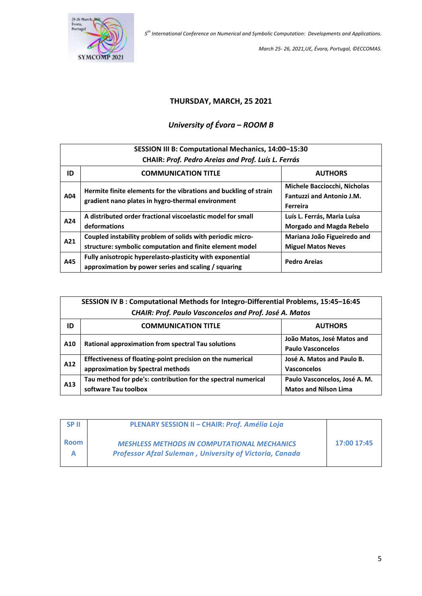

*March 25- 26, 2021,UE, Évora, Portugal, ©ECCOMAS.*

### **THURSDAY, MARCH, 25 2021**

# *University of Évora* **–** *ROOM B*

| SESSION III B: Computational Mechanics, 14:00-15:30<br>CHAIR: Prof. Pedro Areias and Prof. Luís L. Ferrás |                                                                                                                        |                                                                              |
|-----------------------------------------------------------------------------------------------------------|------------------------------------------------------------------------------------------------------------------------|------------------------------------------------------------------------------|
| ID                                                                                                        | <b>COMMUNICATION TITLE</b>                                                                                             | <b>AUTHORS</b>                                                               |
| A04                                                                                                       | Hermite finite elements for the vibrations and buckling of strain<br>gradient nano plates in hygro-thermal environment | Michele Bacciocchi, Nicholas<br><b>Fantuzzi and Antonio J.M.</b><br>Ferreira |
| A24                                                                                                       | A distributed order fractional viscoelastic model for small<br>deformations                                            | Luís L. Ferrás, Maria Luísa<br><b>Morgado and Magda Rebelo</b>               |
| A21                                                                                                       | Coupled instability problem of solids with periodic micro-<br>structure: symbolic computation and finite element model | Mariana João Figueiredo and<br><b>Miguel Matos Neves</b>                     |
| A45                                                                                                       | Fully anisotropic hyperelasto-plasticity with exponential<br>approximation by power series and scaling / squaring      | <b>Pedro Arejas</b>                                                          |

|     | SESSION IV B: Computational Methods for Integro-Differential Problems, 15:45-16:45<br>CHAIR: Prof. Paulo Vasconcelos and Prof. José A. Matos |                                                               |  |
|-----|----------------------------------------------------------------------------------------------------------------------------------------------|---------------------------------------------------------------|--|
| ID  | <b>COMMUNICATION TITLE</b>                                                                                                                   | <b>AUTHORS</b>                                                |  |
| A10 | Rational approximation from spectral Tau solutions                                                                                           | João Matos, José Matos and<br><b>Paulo Vasconcelos</b>        |  |
| A12 | Effectiveness of floating-point precision on the numerical<br>approximation by Spectral methods                                              | José A. Matos and Paulo B.<br>Vasconcelos                     |  |
| A13 | Tau method for pde's: contribution for the spectral numerical<br>software Tau toolbox                                                        | Paulo Vasconcelos, José A. M.<br><b>Matos and Nilson Lima</b> |  |

| <b>SPII</b>      | PLENARY SESSION II - CHAIR: Prof. Amélia Loja                                                                        |             |
|------------------|----------------------------------------------------------------------------------------------------------------------|-------------|
| <b>Room</b><br>A | <b>MESHLESS METHODS IN COMPUTATIONAL MECHANICS</b><br><b>Professor Afzal Suleman, University of Victoria, Canada</b> | 17:00 17:45 |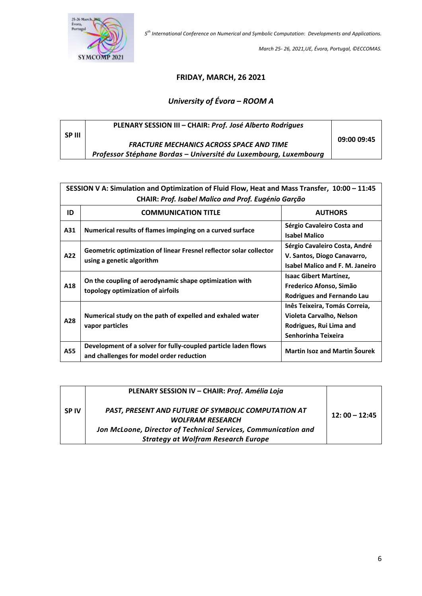

*March 25- 26, 2021,UE, Évora, Portugal, ©ECCOMAS.*

## **FRIDAY, MARCH, 26 2021**

# *University of Évora* **–** *ROOM A*

|        | PLENARY SESSION III - CHAIR: Prof. José Alberto Rodriques        |             |
|--------|------------------------------------------------------------------|-------------|
| SP III | <b>FRACTURE MECHANICS ACROSS SPACE AND TIME</b>                  | 09:00 09:45 |
|        | Professor Stéphane Bordas - Université du Luxembourg, Luxembourg |             |

|     | SESSION V A: Simulation and Optimization of Fluid Flow, Heat and Mass Transfer, 10:00 - 11:45              |                                                                                                             |  |
|-----|------------------------------------------------------------------------------------------------------------|-------------------------------------------------------------------------------------------------------------|--|
|     | <b>CHAIR: Prof. Isabel Malico and Prof. Eugénio Garção</b>                                                 |                                                                                                             |  |
| ID  | <b>COMMUNICATION TITLE</b>                                                                                 | <b>AUTHORS</b>                                                                                              |  |
| A31 | Numerical results of flames impinging on a curved surface                                                  | Sérgio Cavaleiro Costa and<br><b>Isabel Malico</b>                                                          |  |
| A22 | Geometric optimization of linear Fresnel reflector solar collector<br>using a genetic algorithm            | Sérgio Cavaleiro Costa, André<br>V. Santos, Diogo Canavarro,<br><b>Isabel Malico and F. M. Janeiro</b>      |  |
| A18 | On the coupling of aerodynamic shape optimization with<br>topology optimization of airfoils                | <b>Isaac Gibert Martinez,</b><br>Frederico Afonso, Simão<br>Rodrigues and Fernando Lau                      |  |
| A28 | Numerical study on the path of expelled and exhaled water<br>vapor particles                               | Inês Teixeira, Tomás Correia,<br>Violeta Carvalho, Nelson<br>Rodrigues, Rui Lima and<br>Senhorinha Teixeira |  |
| A55 | Development of a solver for fully-coupled particle laden flows<br>and challenges for model order reduction | <b>Martin Isoz and Martin Šourek</b>                                                                        |  |

|                        | PLENARY SESSION IV - CHAIR: Prof. Amélia Loja                                         |                 |
|------------------------|---------------------------------------------------------------------------------------|-----------------|
| <b>SP<sub>IV</sub></b> | <b>PAST, PRESENT AND FUTURE OF SYMBOLIC COMPUTATION AT</b><br><b>WOLFRAM RESEARCH</b> | $12:00 - 12:45$ |
|                        | Jon McLoone, Director of Technical Services, Communication and                        |                 |
|                        | <b>Strategy at Wolfram Research Europe</b>                                            |                 |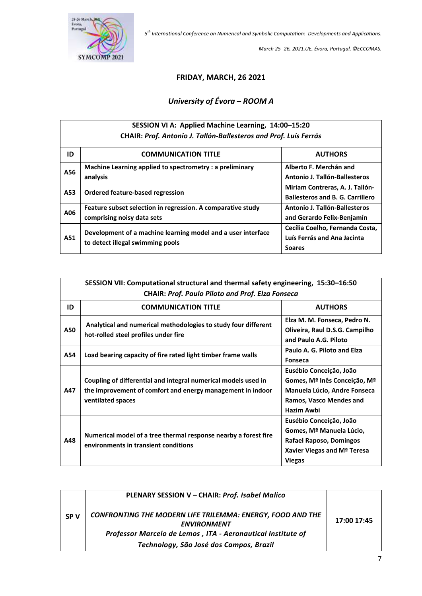

*March 25- 26, 2021,UE, Évora, Portugal, ©ECCOMAS.*

#### **FRIDAY, MARCH, 26 2021**

# *University of Évora* **–** *ROOM A*

## **SESSION VI A: Applied Machine Learning, 14:00–15:20 CHAIR:** *Prof. Antonio J. Tallón-Ballesteros and Prof. Luís Ferrás*

| ID  | <b>COMMUNICATION TITLE</b>                                   | <b>AUTHORS</b>                          |
|-----|--------------------------------------------------------------|-----------------------------------------|
| A56 | Machine Learning applied to spectrometry : a preliminary     | Alberto F. Merchán and                  |
|     | analysis                                                     | Antonio J. Tallón-Ballesteros           |
| A53 |                                                              | Miriam Contreras, A. J. Tallón-         |
|     | Ordered feature-based regression                             | <b>Ballesteros and B. G. Carrillero</b> |
| A06 | Feature subset selection in regression. A comparative study  | Antonio J. Tallón-Ballesteros           |
|     | comprising noisy data sets                                   | and Gerardo Felix-Benjamín              |
|     | Development of a machine learning model and a user interface | Cecília Coelho, Fernanda Costa,         |
| A51 | to detect illegal swimming pools                             | Luís Ferrás and Ana Jacinta             |
|     |                                                              | <b>Soares</b>                           |

|     | SESSION VII: Computational structural and thermal safety engineering, 15:30-16:50<br><b>CHAIR: Prof. Paulo Piloto and Prof. Elza Fonseca</b>      |                                                                                                                                            |  |
|-----|---------------------------------------------------------------------------------------------------------------------------------------------------|--------------------------------------------------------------------------------------------------------------------------------------------|--|
| ID  | <b>COMMUNICATION TITLE</b>                                                                                                                        | <b>AUTHORS</b>                                                                                                                             |  |
| A50 | Analytical and numerical methodologies to study four different<br>hot-rolled steel profiles under fire                                            | Elza M. M. Fonseca, Pedro N.<br>Oliveira, Raul D.S.G. Campilho<br>and Paulo A.G. Piloto                                                    |  |
| A54 | Load bearing capacity of fire rated light timber frame walls                                                                                      | Paulo A. G. Piloto and Elza<br><b>Fonseca</b>                                                                                              |  |
| A47 | Coupling of differential and integral numerical models used in<br>the improvement of comfort and energy management in indoor<br>ventilated spaces | Eusébio Conceição, João<br>Gomes, Mª Inês Conceição, Mª<br>Manuela Lúcio, Andre Fonseca<br>Ramos, Vasco Mendes and<br>Hazim Awbi           |  |
| A48 | Numerical model of a tree thermal response nearby a forest fire<br>environments in transient conditions                                           | Eusébio Conceição, João<br>Gomes, Mª Manuela Lúcio,<br>Rafael Raposo, Domingos<br>Xavier Viegas and M <sup>ª</sup> Teresa<br><b>Viegas</b> |  |

|            | PLENARY SESSION V - CHAIR: Prof. Isabel Malico                                                                                                         |             |
|------------|--------------------------------------------------------------------------------------------------------------------------------------------------------|-------------|
| <b>SPV</b> | <b>CONFRONTING THE MODERN LIFE TRILEMMA: ENERGY, FOOD AND THE</b><br><b>ENVIRONMENT</b><br>Professor Marcelo de Lemos, ITA - Aeronautical Institute of | 17:00 17:45 |
|            | Technology, São José dos Campos, Brazil                                                                                                                |             |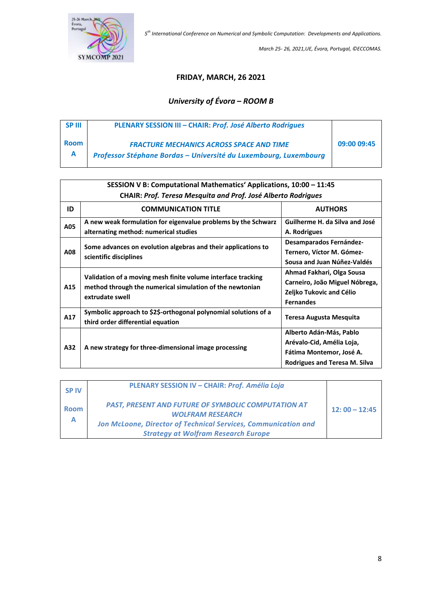

*March 25- 26, 2021,UE, Évora, Portugal, ©ECCOMAS.*

### **FRIDAY, MARCH, 26 2021**

# *University of Évora* **–** *ROOM B*

| <b>SPIII</b> | PLENARY SESSION III - CHAIR: Prof. José Alberto Rodrigues                                                           |             |
|--------------|---------------------------------------------------------------------------------------------------------------------|-------------|
| <b>Room</b>  | <b>FRACTURE MECHANICS ACROSS SPACE AND TIME</b><br>Professor Stéphane Bordas - Université du Luxembourg, Luxembourg | 09:00 09:45 |
|              |                                                                                                                     |             |

| SESSION V B: Computational Mathematics' Applications, 10:00 - 11:45 |                                                                                                                                             |                                      |  |
|---------------------------------------------------------------------|---------------------------------------------------------------------------------------------------------------------------------------------|--------------------------------------|--|
|                                                                     | <b>CHAIR: Prof. Teresa Mesquita and Prof. José Alberto Rodrigues</b>                                                                        |                                      |  |
| ID                                                                  | <b>COMMUNICATION TITLE</b>                                                                                                                  | <b>AUTHORS</b>                       |  |
| A05                                                                 | A new weak formulation for eigenvalue problems by the Schwarz                                                                               | Guilherme H. da Silva and José       |  |
|                                                                     | alternating method: numerical studies                                                                                                       | A. Rodrigues                         |  |
|                                                                     |                                                                                                                                             | <b>Desamparados Fernández-</b>       |  |
| A08                                                                 | Some advances on evolution algebras and their applications to<br>scientific disciplines                                                     | Ternero, Víctor M. Gómez-            |  |
|                                                                     |                                                                                                                                             | Sousa and Juan Núñez-Valdés          |  |
|                                                                     |                                                                                                                                             | Ahmad Fakhari, Olga Sousa            |  |
| A15                                                                 | Validation of a moving mesh finite volume interface tracking<br>method through the numerical simulation of the newtonian<br>extrudate swell | Carneiro, João Miguel Nóbrega,       |  |
|                                                                     |                                                                                                                                             | Zeljko Tukovic and Célio             |  |
|                                                                     |                                                                                                                                             | <b>Fernandes</b>                     |  |
| A17                                                                 | Symbolic approach to \$2\$-orthogonal polynomial solutions of a                                                                             | Teresa Augusta Mesquita              |  |
|                                                                     | third order differential equation                                                                                                           |                                      |  |
|                                                                     |                                                                                                                                             | Alberto Adán-Más, Pablo              |  |
| A32                                                                 | A new strategy for three-dimensional image processing                                                                                       | Arévalo-Cid, Amélia Loja,            |  |
|                                                                     |                                                                                                                                             | Fátima Montemor, José A.             |  |
|                                                                     |                                                                                                                                             | <b>Rodrigues and Teresa M. Silva</b> |  |

| <b>SP<sub>IV</sub></b> | PLENARY SESSION IV - CHAIR: Prof. Amélia Loja                                         |                 |
|------------------------|---------------------------------------------------------------------------------------|-----------------|
| <b>Room</b>            | <b>PAST, PRESENT AND FUTURE OF SYMBOLIC COMPUTATION AT</b><br><b>WOLFRAM RESEARCH</b> | $12:00 - 12:45$ |
| A                      | Jon McLoone, Director of Technical Services, Communication and                        |                 |
|                        | <b>Strategy at Wolfram Research Europe</b>                                            |                 |